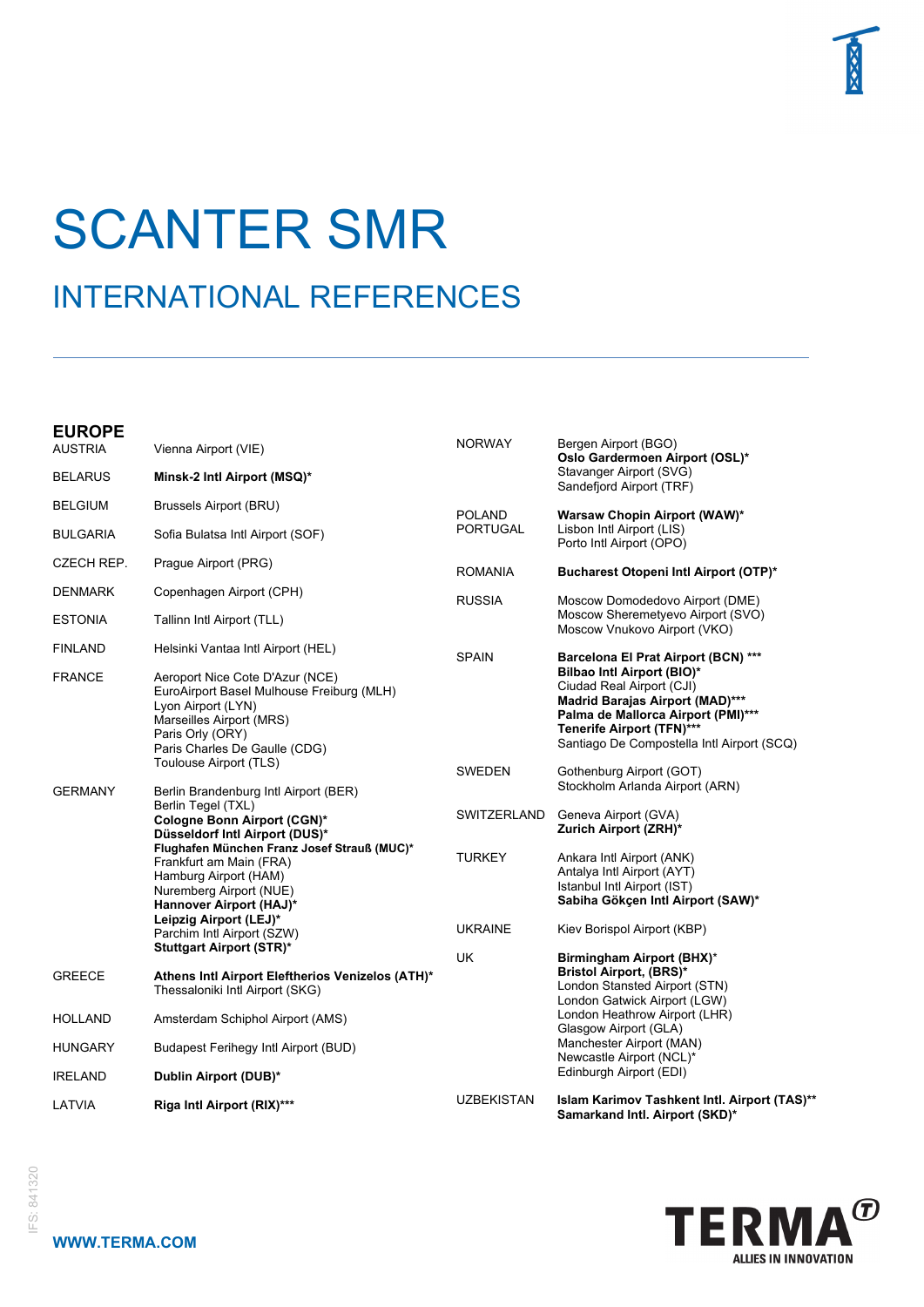

## SCANTER SMR

## INTERNATIONAL REFERENCES

## **EUROPE**

| curure<br><b>AUSTRIA</b> | Vienna Airport (VIE)                                                                                                                                                                | <b>NORWAY</b>                    | Bergen Airport (BGO)<br>Oslo Gardermoen Airport (OSL)*                                                                                                                                      |
|--------------------------|-------------------------------------------------------------------------------------------------------------------------------------------------------------------------------------|----------------------------------|---------------------------------------------------------------------------------------------------------------------------------------------------------------------------------------------|
| <b>BELARUS</b>           | Minsk-2 Intl Airport (MSQ)*                                                                                                                                                         |                                  | Stavanger Airport (SVG)<br>Sandefjord Airport (TRF)                                                                                                                                         |
| <b>BELGIUM</b>           | <b>Brussels Airport (BRU)</b>                                                                                                                                                       | <b>POLAND</b><br><b>PORTUGAL</b> | Warsaw Chopin Airport (WAW)*<br>Lisbon Intl Airport (LIS)<br>Porto Intl Airport (OPO)                                                                                                       |
| <b>BULGARIA</b>          | Sofia Bulatsa Intl Airport (SOF)                                                                                                                                                    |                                  |                                                                                                                                                                                             |
| <b>CZECH REP.</b>        | Prague Airport (PRG)                                                                                                                                                                | <b>ROMANIA</b>                   | Bucharest Otopeni Intl Airport (OTP)*                                                                                                                                                       |
| <b>DENMARK</b>           | Copenhagen Airport (CPH)                                                                                                                                                            | <b>RUSSIA</b>                    | Moscow Domodedovo Airport (DME)                                                                                                                                                             |
| <b>ESTONIA</b>           | Tallinn Intl Airport (TLL)                                                                                                                                                          |                                  | Moscow Sheremetyevo Airport (SVO)<br>Moscow Vnukovo Airport (VKO)                                                                                                                           |
| <b>FINLAND</b>           | Helsinki Vantaa Intl Airport (HEL)                                                                                                                                                  | <b>SPAIN</b>                     | Barcelona El Prat Airport (BCN) ***<br>Bilbao Intl Airport (BIO)*                                                                                                                           |
| <b>FRANCE</b>            | Aeroport Nice Cote D'Azur (NCE)<br>EuroAirport Basel Mulhouse Freiburg (MLH)<br>Lyon Airport (LYN)<br>Marseilles Airport (MRS)<br>Paris Orly (ORY)<br>Paris Charles De Gaulle (CDG) |                                  | Ciudad Real Airport (CJI)<br><b>Madrid Barajas Airport (MAD)***</b><br>Palma de Mallorca Airport (PMI)***<br><b>Tenerife Airport (TFN)***</b><br>Santiago De Compostella Intl Airport (SCQ) |
| <b>GERMANY</b>           | Toulouse Airport (TLS)<br>Berlin Brandenburg Intl Airport (BER)                                                                                                                     | <b>SWEDEN</b>                    | Gothenburg Airport (GOT)<br>Stockholm Arlanda Airport (ARN)                                                                                                                                 |
|                          | Berlin Tegel (TXL)<br>Cologne Bonn Airport (CGN)*<br>Düsseldorf Intl Airport (DUS)*                                                                                                 | SWITZERLAND                      | Geneva Airport (GVA)<br>Zurich Airport (ZRH)*                                                                                                                                               |
|                          | Flughafen München Franz Josef Strauß (MUC)*<br>Frankfurt am Main (FRA)<br>Hamburg Airport (HAM)<br>Nuremberg Airport (NUE)<br>Hannover Airport (HAJ)*                               | <b>TURKEY</b>                    | Ankara Intl Airport (ANK)<br>Antalya Intl Airport (AYT)<br>Istanbul Intl Airport (IST)<br>Sabiha Gökçen Intl Airport (SAW)*                                                                 |
|                          | Leipzig Airport (LEJ)*<br>Parchim Intl Airport (SZW)<br><b>Stuttgart Airport (STR)*</b>                                                                                             | <b>UKRAINE</b>                   | Kiev Borispol Airport (KBP)                                                                                                                                                                 |
| <b>GREECE</b>            | Athens Intl Airport Eleftherios Venizelos (ATH)*<br>Thessaloniki Intl Airport (SKG)                                                                                                 | <b>UK</b>                        | Birmingham Airport (BHX)*<br><b>Bristol Airport, (BRS)*</b><br>London Stansted Airport (STN)<br>London Gatwick Airport (LGW)                                                                |
| <b>HOLLAND</b>           | Amsterdam Schiphol Airport (AMS)                                                                                                                                                    |                                  | London Heathrow Airport (LHR)<br>Glasgow Airport (GLA)                                                                                                                                      |
| <b>HUNGARY</b>           | <b>Budapest Ferihegy Intl Airport (BUD)</b>                                                                                                                                         |                                  | Manchester Airport (MAN)<br>Newcastle Airport (NCL)*                                                                                                                                        |
| <b>IRELAND</b>           | Dublin Airport (DUB)*                                                                                                                                                               |                                  | Edinburgh Airport (EDI)                                                                                                                                                                     |
| LATVIA                   | Riga Intl Airport (RIX)***                                                                                                                                                          | <b>UZBEKISTAN</b>                | Islam Karimov Tashkent Intl. Airport (TAS)**<br>Samarkand Intl. Airport (SKD)*                                                                                                              |